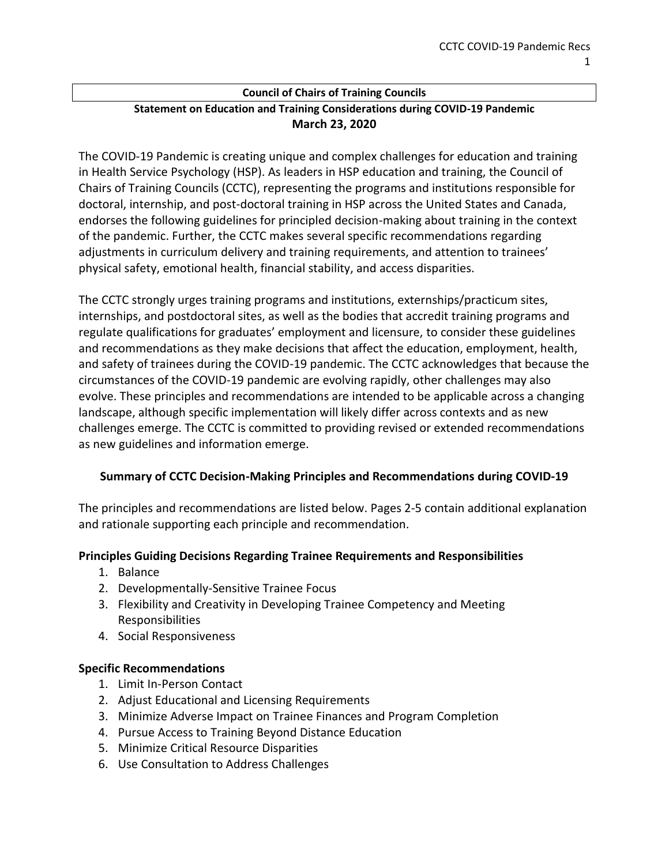# **Council of Chairs of Training Councils Statement on Education and Training Considerations during COVID-19 Pandemic March 23, 2020**

The COVID-19 Pandemic is creating unique and complex challenges for education and training in Health Service Psychology (HSP). As leaders in HSP education and training, the Council of Chairs of Training Councils (CCTC), representing the programs and institutions responsible for doctoral, internship, and post-doctoral training in HSP across the United States and Canada, endorses the following guidelines for principled decision-making about training in the context of the pandemic. Further, the CCTC makes several specific recommendations regarding adjustments in curriculum delivery and training requirements, and attention to trainees' physical safety, emotional health, financial stability, and access disparities.

The CCTC strongly urges training programs and institutions, externships/practicum sites, internships, and postdoctoral sites, as well as the bodies that accredit training programs and regulate qualifications for graduates' employment and licensure, to consider these guidelines and recommendations as they make decisions that affect the education, employment, health, and safety of trainees during the COVID-19 pandemic. The CCTC acknowledges that because the circumstances of the COVID-19 pandemic are evolving rapidly, other challenges may also evolve. These principles and recommendations are intended to be applicable across a changing landscape, although specific implementation will likely differ across contexts and as new challenges emerge. The CCTC is committed to providing revised or extended recommendations as new guidelines and information emerge.

## **Summary of CCTC Decision-Making Principles and Recommendations during COVID-19**

The principles and recommendations are listed below. Pages 2-5 contain additional explanation and rationale supporting each principle and recommendation.

## **Principles Guiding Decisions Regarding Trainee Requirements and Responsibilities**

- 1. Balance
- 2. Developmentally-Sensitive Trainee Focus
- 3. Flexibility and Creativity in Developing Trainee Competency and Meeting Responsibilities
- 4. Social Responsiveness

#### **Specific Recommendations**

- 1. Limit In-Person Contact
- 2. Adjust Educational and Licensing Requirements
- 3. Minimize Adverse Impact on Trainee Finances and Program Completion
- 4. Pursue Access to Training Beyond Distance Education
- 5. Minimize Critical Resource Disparities
- 6. Use Consultation to Address Challenges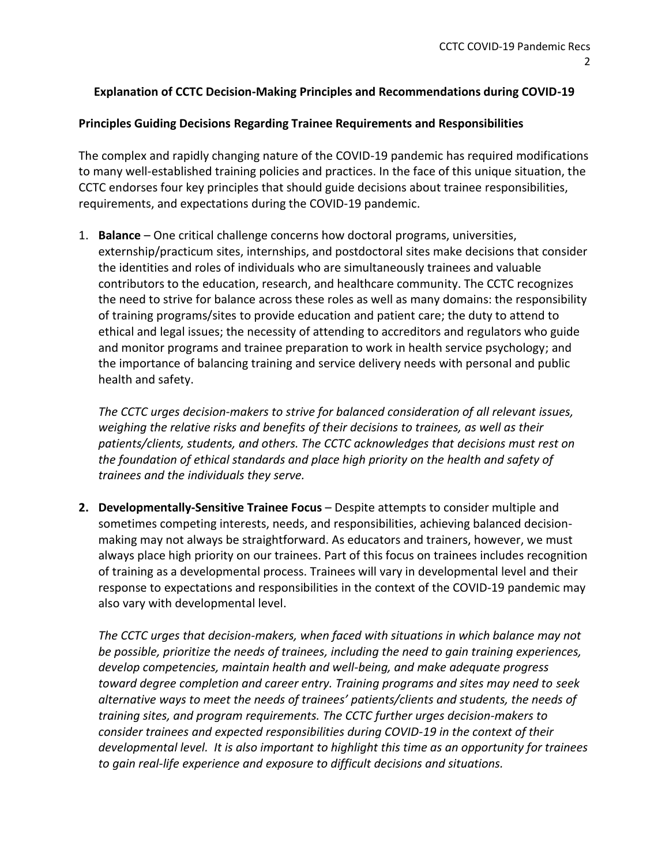### **Explanation of CCTC Decision-Making Principles and Recommendations during COVID-19**

### **Principles Guiding Decisions Regarding Trainee Requirements and Responsibilities**

The complex and rapidly changing nature of the COVID-19 pandemic has required modifications to many well-established training policies and practices. In the face of this unique situation, the CCTC endorses four key principles that should guide decisions about trainee responsibilities, requirements, and expectations during the COVID-19 pandemic.

1. **Balance** – One critical challenge concerns how doctoral programs, universities, externship/practicum sites, internships, and postdoctoral sites make decisions that consider the identities and roles of individuals who are simultaneously trainees and valuable contributors to the education, research, and healthcare community. The CCTC recognizes the need to strive for balance across these roles as well as many domains: the responsibility of training programs/sites to provide education and patient care; the duty to attend to ethical and legal issues; the necessity of attending to accreditors and regulators who guide and monitor programs and trainee preparation to work in health service psychology; and the importance of balancing training and service delivery needs with personal and public health and safety.

*The CCTC urges decision-makers to strive for balanced consideration of all relevant issues, weighing the relative risks and benefits of their decisions to trainees, as well as their patients/clients, students, and others. The CCTC acknowledges that decisions must rest on the foundation of ethical standards and place high priority on the health and safety of trainees and the individuals they serve.*

**2. Developmentally-Sensitive Trainee Focus** – Despite attempts to consider multiple and sometimes competing interests, needs, and responsibilities, achieving balanced decisionmaking may not always be straightforward. As educators and trainers, however, we must always place high priority on our trainees. Part of this focus on trainees includes recognition of training as a developmental process. Trainees will vary in developmental level and their response to expectations and responsibilities in the context of the COVID-19 pandemic may also vary with developmental level.

*The CCTC urges that decision-makers, when faced with situations in which balance may not be possible, prioritize the needs of trainees, including the need to gain training experiences, develop competencies, maintain health and well-being, and make adequate progress toward degree completion and career entry. Training programs and sites may need to seek alternative ways to meet the needs of trainees' patients/clients and students, the needs of training sites, and program requirements. The CCTC further urges decision-makers to consider trainees and expected responsibilities during COVID-19 in the context of their developmental level. It is also important to highlight this time as an opportunity for trainees to gain real-life experience and exposure to difficult decisions and situations.*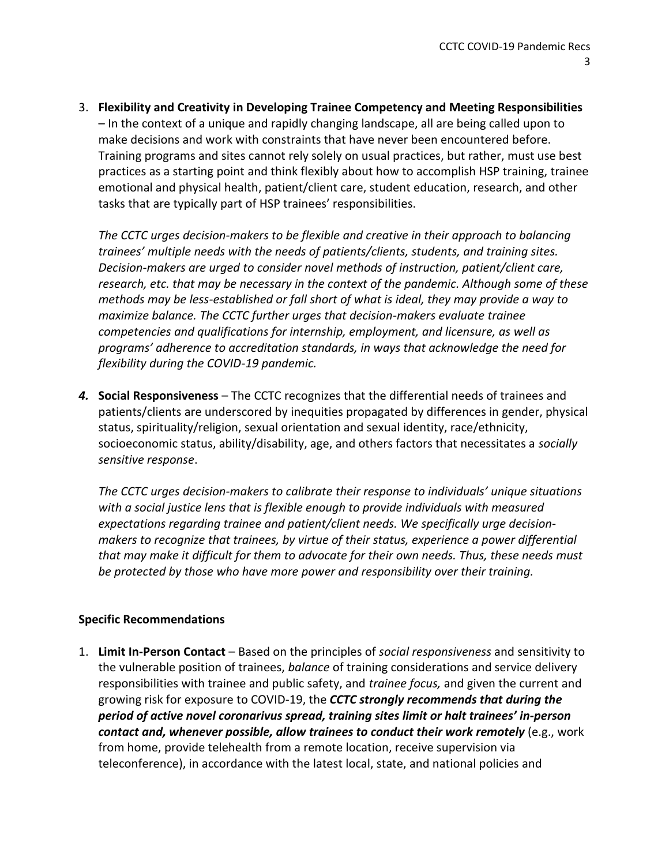3. **Flexibility and Creativity in Developing Trainee Competency and Meeting Responsibilities** – In the context of a unique and rapidly changing landscape, all are being called upon to make decisions and work with constraints that have never been encountered before. Training programs and sites cannot rely solely on usual practices, but rather, must use best practices as a starting point and think flexibly about how to accomplish HSP training, trainee emotional and physical health, patient/client care, student education, research, and other tasks that are typically part of HSP trainees' responsibilities.

*The CCTC urges decision-makers to be flexible and creative in their approach to balancing trainees' multiple needs with the needs of patients/clients, students, and training sites. Decision-makers are urged to consider novel methods of instruction, patient/client care, research, etc. that may be necessary in the context of the pandemic. Although some of these methods may be less-established or fall short of what is ideal, they may provide a way to maximize balance. The CCTC further urges that decision-makers evaluate trainee competencies and qualifications for internship, employment, and licensure, as well as programs' adherence to accreditation standards, in ways that acknowledge the need for flexibility during the COVID-19 pandemic.*

*4.* **Social Responsiveness** – The CCTC recognizes that the differential needs of trainees and patients/clients are underscored by inequities propagated by differences in gender, physical status, spirituality/religion, sexual orientation and sexual identity, race/ethnicity, socioeconomic status, ability/disability, age, and others factors that necessitates a *socially sensitive response*.

*The CCTC urges decision-makers to calibrate their response to individuals' unique situations with a social justice lens that is flexible enough to provide individuals with measured expectations regarding trainee and patient/client needs. We specifically urge decisionmakers to recognize that trainees, by virtue of their status, experience a power differential that may make it difficult for them to advocate for their own needs. Thus, these needs must be protected by those who have more power and responsibility over their training.* 

#### **Specific Recommendations**

1. **Limit In-Person Contact** – Based on the principles of *social responsiveness* and sensitivity to the vulnerable position of trainees, *balance* of training considerations and service delivery responsibilities with trainee and public safety, and *trainee focus,* and given the current and growing risk for exposure to COVID-19, the *CCTC strongly recommends that during the period of active novel coronarivus spread, training sites limit or halt trainees' in-person contact and, whenever possible, allow trainees to conduct their work remotely* (e.g., work from home, provide telehealth from a remote location, receive supervision via teleconference), in accordance with the latest local, state, and national policies and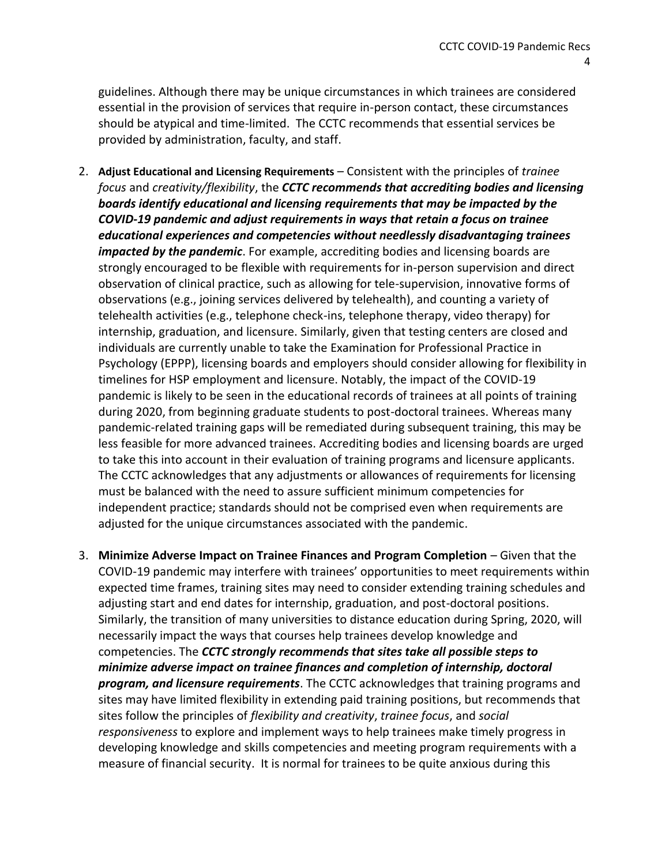guidelines. Although there may be unique circumstances in which trainees are considered essential in the provision of services that require in-person contact, these circumstances should be atypical and time-limited. The CCTC recommends that essential services be provided by administration, faculty, and staff.

- 2. **Adjust Educational and Licensing Requirements** Consistent with the principles of *trainee focus* and *creativity/flexibility*, the *CCTC recommends that accrediting bodies and licensing boards identify educational and licensing requirements that may be impacted by the COVID-19 pandemic and adjust requirements in ways that retain a focus on trainee educational experiences and competencies without needlessly disadvantaging trainees impacted by the pandemic*. For example, accrediting bodies and licensing boards are strongly encouraged to be flexible with requirements for in-person supervision and direct observation of clinical practice, such as allowing for tele-supervision, innovative forms of observations (e.g., joining services delivered by telehealth), and counting a variety of telehealth activities (e.g., telephone check-ins, telephone therapy, video therapy) for internship, graduation, and licensure. Similarly, given that testing centers are closed and individuals are currently unable to take the Examination for Professional Practice in Psychology (EPPP), licensing boards and employers should consider allowing for flexibility in timelines for HSP employment and licensure. Notably, the impact of the COVID-19 pandemic is likely to be seen in the educational records of trainees at all points of training during 2020, from beginning graduate students to post-doctoral trainees. Whereas many pandemic-related training gaps will be remediated during subsequent training, this may be less feasible for more advanced trainees. Accrediting bodies and licensing boards are urged to take this into account in their evaluation of training programs and licensure applicants. The CCTC acknowledges that any adjustments or allowances of requirements for licensing must be balanced with the need to assure sufficient minimum competencies for independent practice; standards should not be comprised even when requirements are adjusted for the unique circumstances associated with the pandemic.
- 3. **Minimize Adverse Impact on Trainee Finances and Program Completion** Given that the COVID-19 pandemic may interfere with trainees' opportunities to meet requirements within expected time frames, training sites may need to consider extending training schedules and adjusting start and end dates for internship, graduation, and post-doctoral positions. Similarly, the transition of many universities to distance education during Spring, 2020, will necessarily impact the ways that courses help trainees develop knowledge and competencies. The *CCTC strongly recommends that sites take all possible steps to minimize adverse impact on trainee finances and completion of internship, doctoral program, and licensure requirements*. The CCTC acknowledges that training programs and sites may have limited flexibility in extending paid training positions, but recommends that sites follow the principles of *flexibility and creativity*, *trainee focus*, and *social responsiveness* to explore and implement ways to help trainees make timely progress in developing knowledge and skills competencies and meeting program requirements with a measure of financial security. It is normal for trainees to be quite anxious during this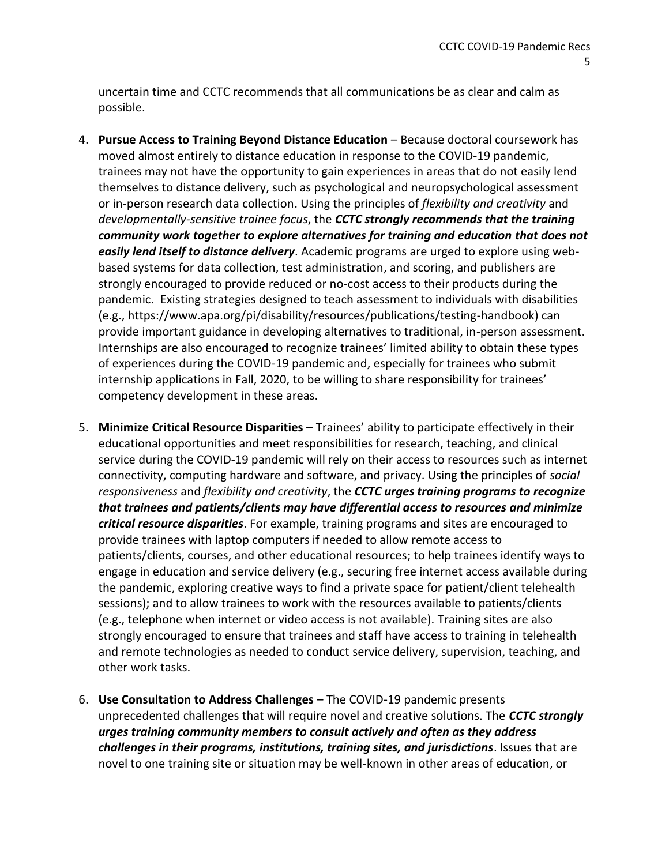uncertain time and CCTC recommends that all communications be as clear and calm as possible.

- 4. **Pursue Access to Training Beyond Distance Education** Because doctoral coursework has moved almost entirely to distance education in response to the COVID-19 pandemic, trainees may not have the opportunity to gain experiences in areas that do not easily lend themselves to distance delivery, such as psychological and neuropsychological assessment or in-person research data collection. Using the principles of *flexibility and creativity* and *developmentally-sensitive trainee focus*, the *CCTC strongly recommends that the training community work together to explore alternatives for training and education that does not easily lend itself to distance delivery*. Academic programs are urged to explore using webbased systems for data collection, test administration, and scoring, and publishers are strongly encouraged to provide reduced or no-cost access to their products during the pandemic. Existing strategies designed to teach assessment to individuals with disabilities (e.g., [https://www.apa.org/pi/disability/resources/publications/testing-handbook\)](https://www.apa.org/pi/disability/resources/publications/testing-handbook) can provide important guidance in developing alternatives to traditional, in-person assessment. Internships are also encouraged to recognize trainees' limited ability to obtain these types of experiences during the COVID-19 pandemic and, especially for trainees who submit internship applications in Fall, 2020, to be willing to share responsibility for trainees' competency development in these areas.
- 5. **Minimize Critical Resource Disparities** Trainees' ability to participate effectively in their educational opportunities and meet responsibilities for research, teaching, and clinical service during the COVID-19 pandemic will rely on their access to resources such as internet connectivity, computing hardware and software, and privacy. Using the principles of *social responsiveness* and *flexibility and creativity*, the *CCTC urges training programs to recognize that trainees and patients/clients may have differential access to resources and minimize critical resource disparities*. For example, training programs and sites are encouraged to provide trainees with laptop computers if needed to allow remote access to patients/clients, courses, and other educational resources; to help trainees identify ways to engage in education and service delivery (e.g., securing free internet access available during the pandemic, exploring creative ways to find a private space for patient/client telehealth sessions); and to allow trainees to work with the resources available to patients/clients (e.g., telephone when internet or video access is not available). Training sites are also strongly encouraged to ensure that trainees and staff have access to training in telehealth and remote technologies as needed to conduct service delivery, supervision, teaching, and other work tasks.
- 6. **Use Consultation to Address Challenges** The COVID-19 pandemic presents unprecedented challenges that will require novel and creative solutions. The *CCTC strongly urges training community members to consult actively and often as they address challenges in their programs, institutions, training sites, and jurisdictions*. Issues that are novel to one training site or situation may be well-known in other areas of education, or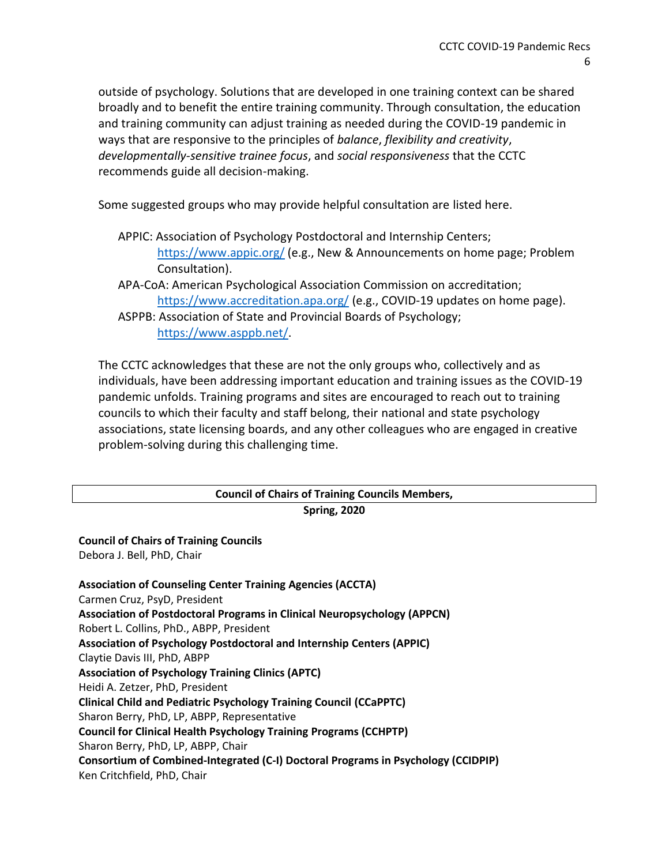outside of psychology. Solutions that are developed in one training context can be shared broadly and to benefit the entire training community. Through consultation, the education and training community can adjust training as needed during the COVID-19 pandemic in ways that are responsive to the principles of *balance*, *flexibility and creativity*, *developmentally-sensitive trainee focus*, and *social responsiveness* that the CCTC recommends guide all decision-making.

Some suggested groups who may provide helpful consultation are listed here.

- APPIC: Association of Psychology Postdoctoral and Internship Centers; <https://www.appic.org/> (e.g., New & Announcements on home page; Problem Consultation).
- APA-CoA: American Psychological Association Commission on accreditation; <https://www.accreditation.apa.org/> (e.g., COVID-19 updates on home page).

ASPPB: Association of State and Provincial Boards of Psychology; [https://www.asppb.net/.](https://www.asppb.net/)

The CCTC acknowledges that these are not the only groups who, collectively and as individuals, have been addressing important education and training issues as the COVID-19 pandemic unfolds. Training programs and sites are encouraged to reach out to training councils to which their faculty and staff belong, their national and state psychology associations, state licensing boards, and any other colleagues who are engaged in creative problem-solving during this challenging time.

#### **Council of Chairs of Training Councils Members, Spring, 2020**

**Council of Chairs of Training Councils**

Debora J. Bell, PhD, Chair

**Association of Counseling Center Training Agencies (ACCTA)** Carmen Cruz, PsyD, President **Association of Postdoctoral Programs in Clinical Neuropsychology (APPCN)** Robert L. Collins, PhD., ABPP, President **Association of Psychology Postdoctoral and Internship Centers (APPIC)** Claytie Davis III, PhD, ABPP **Association of Psychology Training Clinics (APTC)** Heidi A. Zetzer, PhD, President **Clinical Child and Pediatric Psychology Training Council (CCaPPTC)** Sharon Berry, PhD, LP, ABPP, Representative **Council for Clinical Health Psychology Training Programs (CCHPTP)** Sharon Berry, PhD, LP, ABPP, Chair **Consortium of Combined-Integrated (C-I) Doctoral Programs in Psychology (CCIDPIP)** Ken Critchfield, PhD, Chair